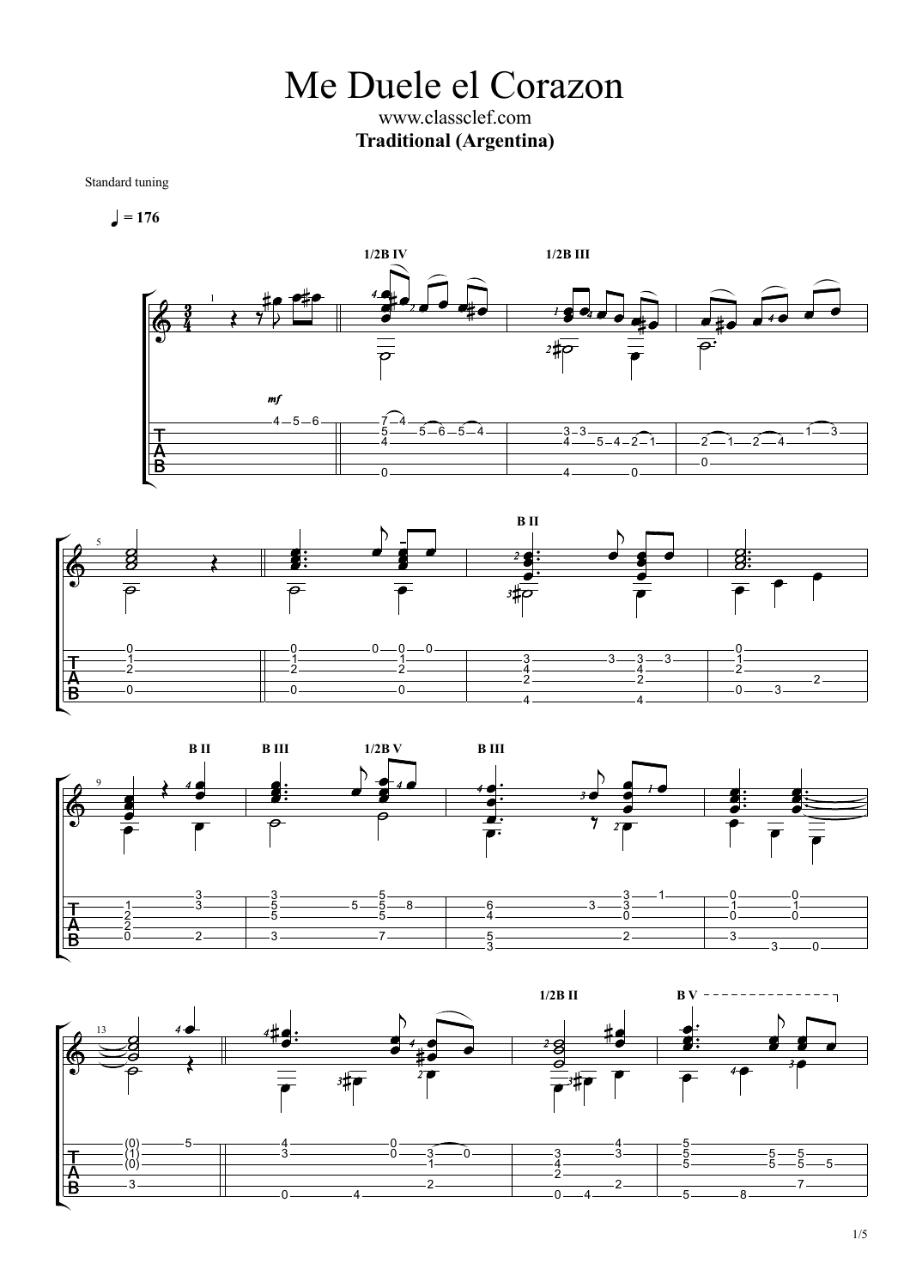Me Duele el Corazon www.classclef.com **Traditional (Argentina)**

Standard tuning

$$
\blacksquare = 176
$$







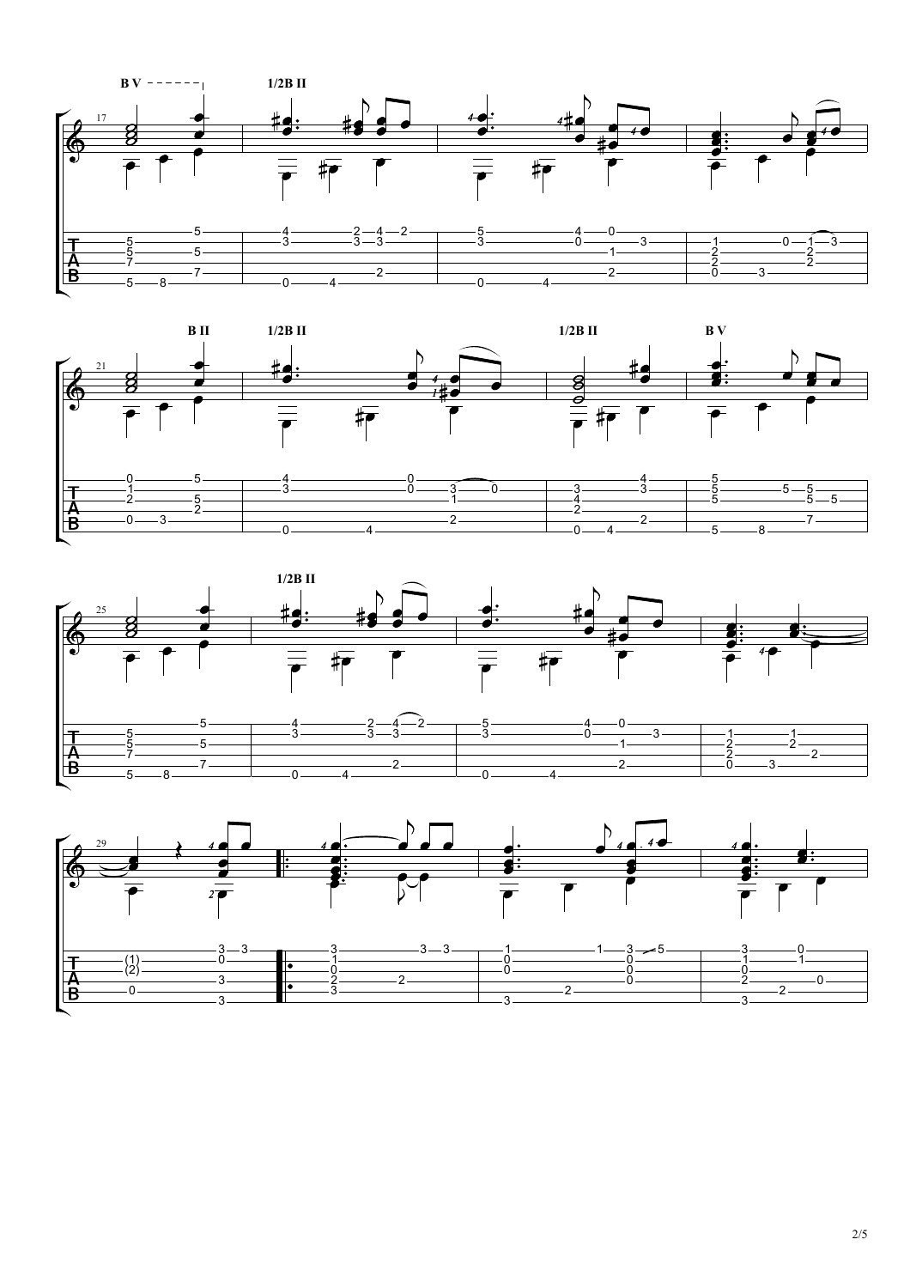





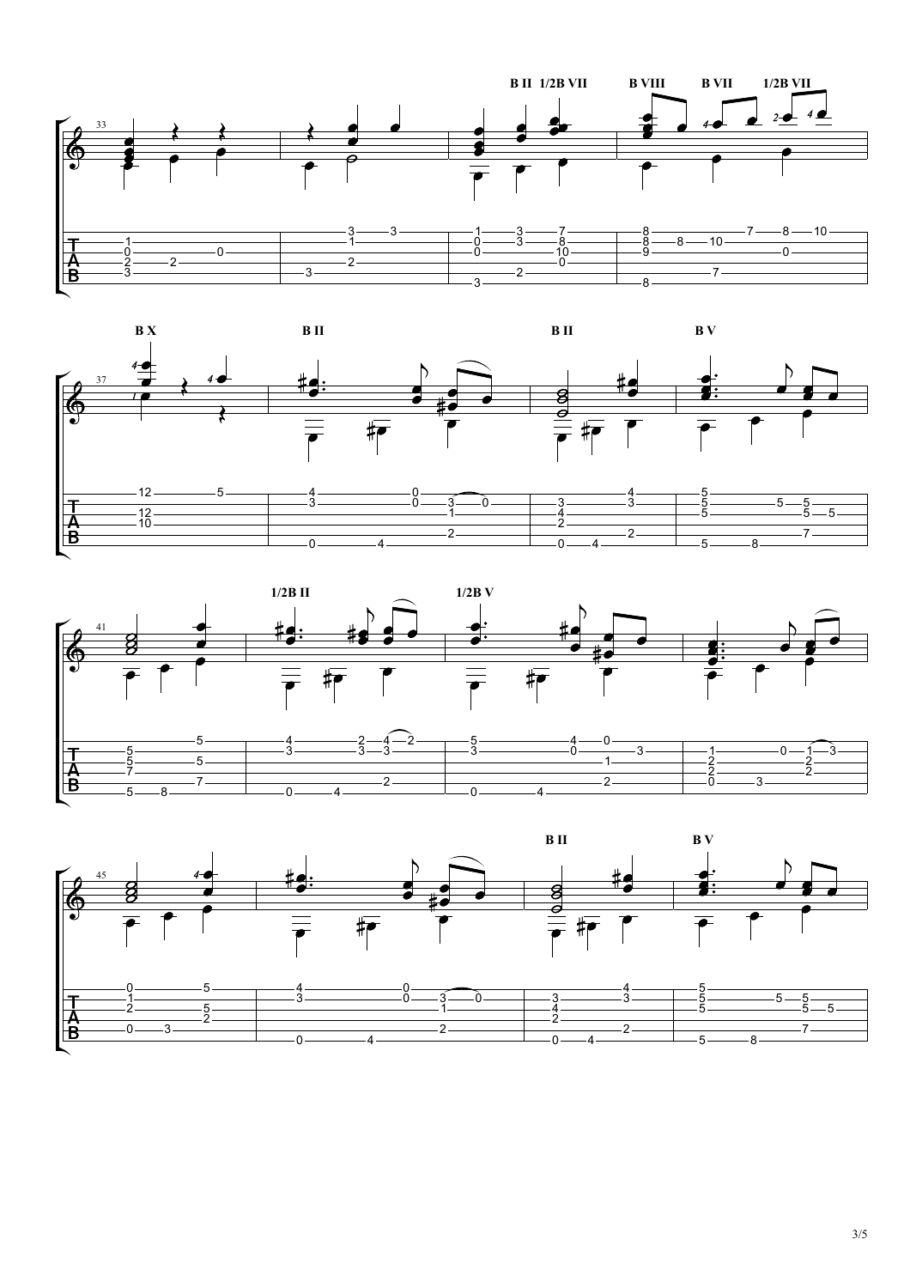





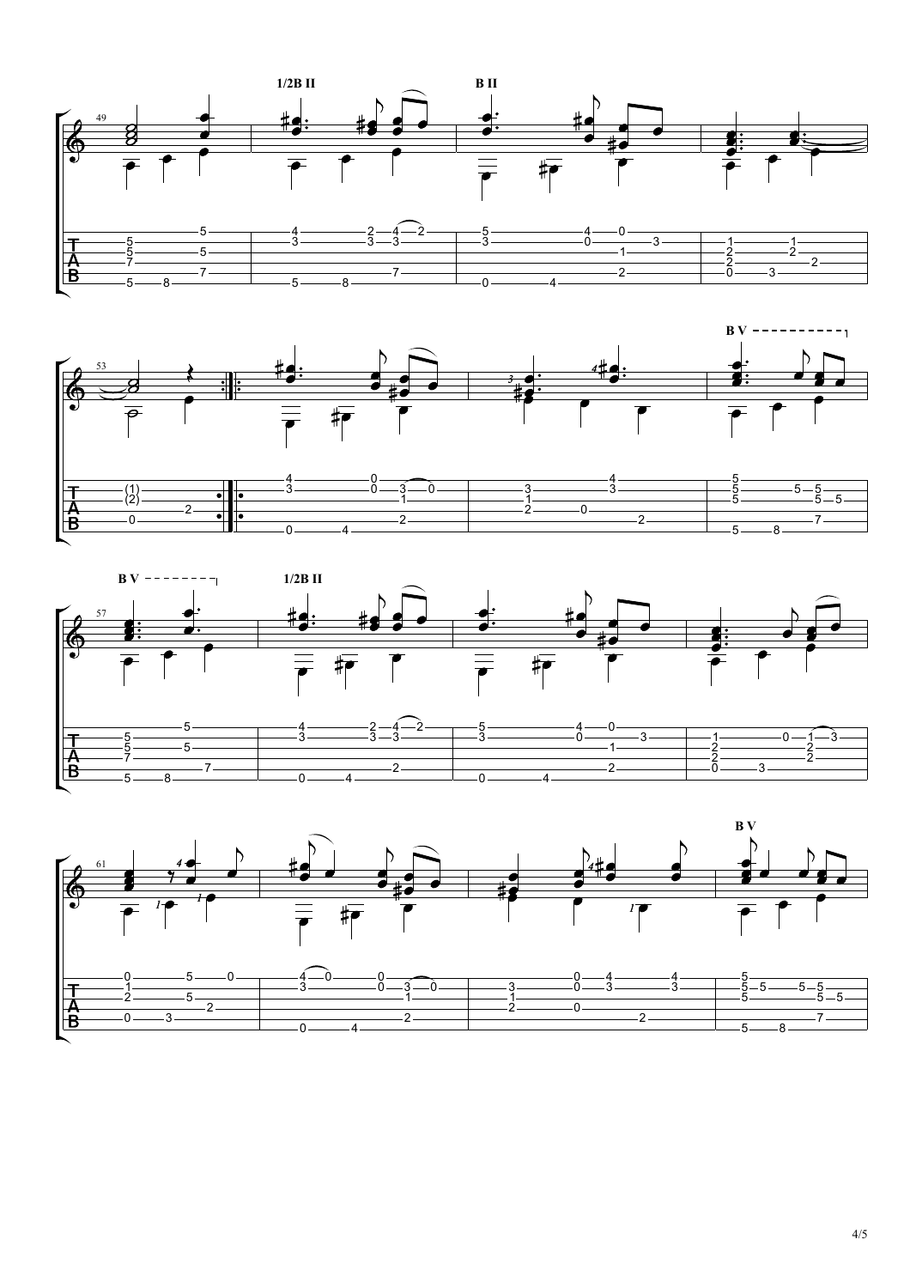